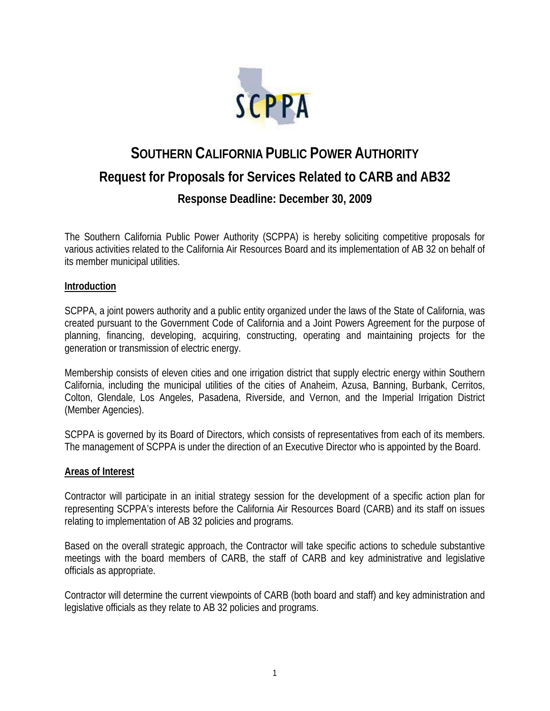

# **SOUTHERN CALIFORNIA PUBLIC POWER AUTHORITY Request for Proposals for Services Related to CARB and AB32**

**Response Deadline: December 30, 2009** 

The Southern California Public Power Authority (SCPPA) is hereby soliciting competitive proposals for various activities related to the California Air Resources Board and its implementation of AB 32 on behalf of its member municipal utilities.

# **Introduction**

SCPPA, a joint powers authority and a public entity organized under the laws of the State of California, was created pursuant to the Government Code of California and a Joint Powers Agreement for the purpose of planning, financing, developing, acquiring, constructing, operating and maintaining projects for the generation or transmission of electric energy.

Membership consists of eleven cities and one irrigation district that supply electric energy within Southern California, including the municipal utilities of the cities of Anaheim, Azusa, Banning, Burbank, Cerritos, Colton, Glendale, Los Angeles, Pasadena, Riverside, and Vernon, and the Imperial Irrigation District (Member Agencies).

SCPPA is governed by its Board of Directors, which consists of representatives from each of its members. The management of SCPPA is under the direction of an Executive Director who is appointed by the Board.

# **Areas of Interest**

Contractor will participate in an initial strategy session for the development of a specific action plan for representing SCPPA's interests before the California Air Resources Board (CARB) and its staff on issues relating to implementation of AB 32 policies and programs.

Based on the overall strategic approach, the Contractor will take specific actions to schedule substantive meetings with the board members of CARB, the staff of CARB and key administrative and legislative officials as appropriate.

Contractor will determine the current viewpoints of CARB (both board and staff) and key administration and legislative officials as they relate to AB 32 policies and programs.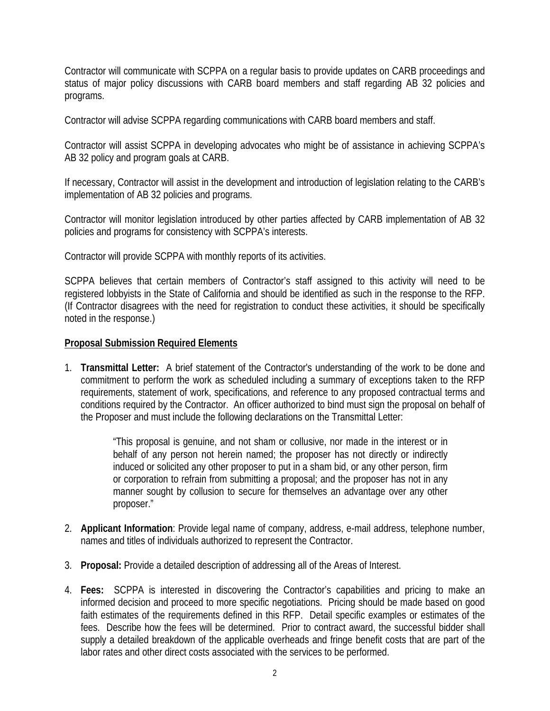Contractor will communicate with SCPPA on a regular basis to provide updates on CARB proceedings and status of major policy discussions with CARB board members and staff regarding AB 32 policies and programs.

Contractor will advise SCPPA regarding communications with CARB board members and staff.

Contractor will assist SCPPA in developing advocates who might be of assistance in achieving SCPPA's AB 32 policy and program goals at CARB.

If necessary, Contractor will assist in the development and introduction of legislation relating to the CARB's implementation of AB 32 policies and programs.

Contractor will monitor legislation introduced by other parties affected by CARB implementation of AB 32 policies and programs for consistency with SCPPA's interests.

Contractor will provide SCPPA with monthly reports of its activities.

SCPPA believes that certain members of Contractor's staff assigned to this activity will need to be registered lobbyists in the State of California and should be identified as such in the response to the RFP. (If Contractor disagrees with the need for registration to conduct these activities, it should be specifically noted in the response.)

# **Proposal Submission Required Elements**

1. **Transmittal Letter:** A brief statement of the Contractor's understanding of the work to be done and commitment to perform the work as scheduled including a summary of exceptions taken to the RFP requirements, statement of work, specifications, and reference to any proposed contractual terms and conditions required by the Contractor. An officer authorized to bind must sign the proposal on behalf of the Proposer and must include the following declarations on the Transmittal Letter:

> "This proposal is genuine, and not sham or collusive, nor made in the interest or in behalf of any person not herein named; the proposer has not directly or indirectly induced or solicited any other proposer to put in a sham bid, or any other person, firm or corporation to refrain from submitting a proposal; and the proposer has not in any manner sought by collusion to secure for themselves an advantage over any other proposer."

- 2. **Applicant Information**: Provide legal name of company, address, e-mail address, telephone number, names and titles of individuals authorized to represent the Contractor.
- 3. **Proposal:** Provide a detailed description of addressing all of the Areas of Interest.
- 4. **Fees:** SCPPA is interested in discovering the Contractor's capabilities and pricing to make an informed decision and proceed to more specific negotiations. Pricing should be made based on good faith estimates of the requirements defined in this RFP. Detail specific examples or estimates of the fees. Describe how the fees will be determined. Prior to contract award, the successful bidder shall supply a detailed breakdown of the applicable overheads and fringe benefit costs that are part of the labor rates and other direct costs associated with the services to be performed.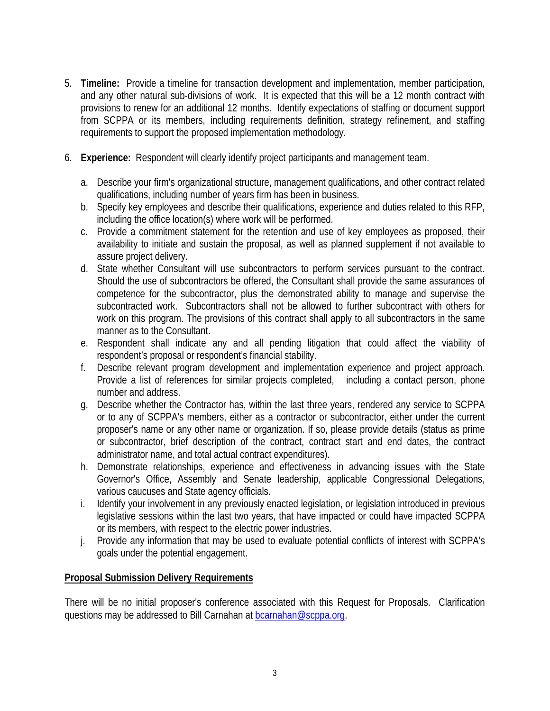- 5. **Timeline:** Provide a timeline for transaction development and implementation, member participation, and any other natural sub-divisions of work. It is expected that this will be a 12 month contract with provisions to renew for an additional 12 months. Identify expectations of staffing or document support from SCPPA or its members, including requirements definition, strategy refinement, and staffing requirements to support the proposed implementation methodology.
- 6. **Experience:** Respondent will clearly identify project participants and management team.
	- a. Describe your firm's organizational structure, management qualifications, and other contract related qualifications, including number of years firm has been in business.
	- b. Specify key employees and describe their qualifications, experience and duties related to this RFP, including the office location(s) where work will be performed.
	- c. Provide a commitment statement for the retention and use of key employees as proposed, their availability to initiate and sustain the proposal, as well as planned supplement if not available to assure project delivery.
	- d. State whether Consultant will use subcontractors to perform services pursuant to the contract. Should the use of subcontractors be offered, the Consultant shall provide the same assurances of competence for the subcontractor, plus the demonstrated ability to manage and supervise the subcontracted work. Subcontractors shall not be allowed to further subcontract with others for work on this program. The provisions of this contract shall apply to all subcontractors in the same manner as to the Consultant.
	- e. Respondent shall indicate any and all pending litigation that could affect the viability of respondent's proposal or respondent's financial stability.
	- f. Describe relevant program development and implementation experience and project approach. Provide a list of references for similar projects completed, including a contact person, phone number and address.
	- g. Describe whether the Contractor has, within the last three years, rendered any service to SCPPA or to any of SCPPA's members, either as a contractor or subcontractor, either under the current proposer's name or any other name or organization. If so, please provide details (status as prime or subcontractor, brief description of the contract, contract start and end dates, the contract administrator name, and total actual contract expenditures).
	- h. Demonstrate relationships, experience and effectiveness in advancing issues with the State Governor's Office, Assembly and Senate leadership, applicable Congressional Delegations, various caucuses and State agency officials.
	- i. Identify your involvement in any previously enacted legislation, or legislation introduced in previous legislative sessions within the last two years, that have impacted or could have impacted SCPPA or its members, with respect to the electric power industries.
	- j. Provide any information that may be used to evaluate potential conflicts of interest with SCPPA's goals under the potential engagement.

# **Proposal Submission Delivery Requirements**

There will be no initial proposer's conference associated with this Request for Proposals. Clarification questions may be addressed to Bill Carnahan at bcarnahan@scppa.org.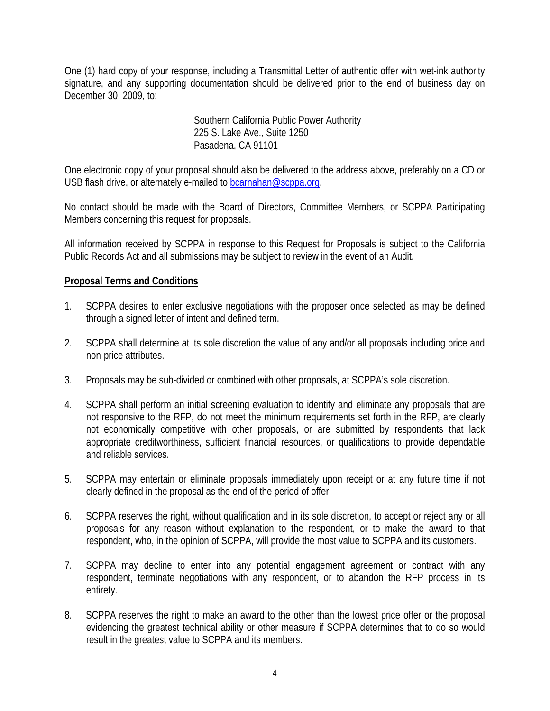One (1) hard copy of your response, including a Transmittal Letter of authentic offer with wet-ink authority signature, and any supporting documentation should be delivered prior to the end of business day on December 30, 2009, to:

> Southern California Public Power Authority 225 S. Lake Ave., Suite 1250 Pasadena, CA 91101

One electronic copy of your proposal should also be delivered to the address above, preferably on a CD or USB flash drive, or alternately e-mailed to **bcarnahan@scppa.org**.

No contact should be made with the Board of Directors, Committee Members, or SCPPA Participating Members concerning this request for proposals.

All information received by SCPPA in response to this Request for Proposals is subject to the California Public Records Act and all submissions may be subject to review in the event of an Audit.

# **Proposal Terms and Conditions**

- 1. SCPPA desires to enter exclusive negotiations with the proposer once selected as may be defined through a signed letter of intent and defined term.
- 2. SCPPA shall determine at its sole discretion the value of any and/or all proposals including price and non-price attributes.
- 3. Proposals may be sub-divided or combined with other proposals, at SCPPA's sole discretion.
- 4. SCPPA shall perform an initial screening evaluation to identify and eliminate any proposals that are not responsive to the RFP, do not meet the minimum requirements set forth in the RFP, are clearly not economically competitive with other proposals, or are submitted by respondents that lack appropriate creditworthiness, sufficient financial resources, or qualifications to provide dependable and reliable services.
- 5. SCPPA may entertain or eliminate proposals immediately upon receipt or at any future time if not clearly defined in the proposal as the end of the period of offer.
- 6. SCPPA reserves the right, without qualification and in its sole discretion, to accept or reject any or all proposals for any reason without explanation to the respondent, or to make the award to that respondent, who, in the opinion of SCPPA, will provide the most value to SCPPA and its customers.
- 7. SCPPA may decline to enter into any potential engagement agreement or contract with any respondent, terminate negotiations with any respondent, or to abandon the RFP process in its entirety.
- 8. SCPPA reserves the right to make an award to the other than the lowest price offer or the proposal evidencing the greatest technical ability or other measure if SCPPA determines that to do so would result in the greatest value to SCPPA and its members.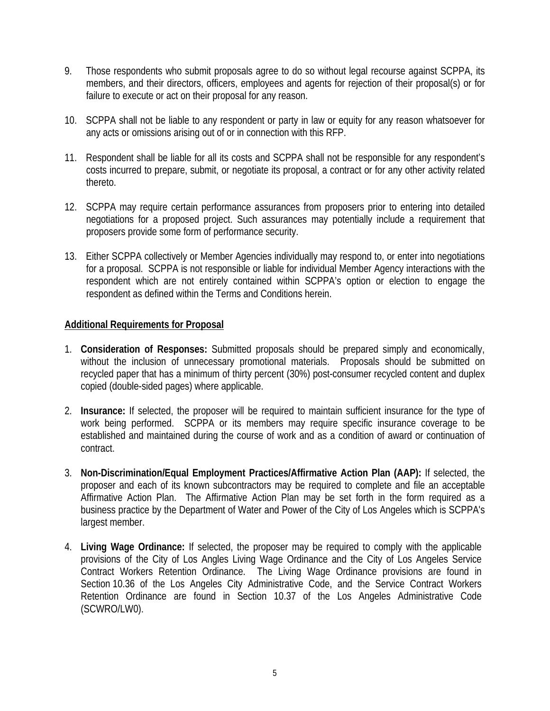- 9. Those respondents who submit proposals agree to do so without legal recourse against SCPPA, its members, and their directors, officers, employees and agents for rejection of their proposal(s) or for failure to execute or act on their proposal for any reason.
- 10. SCPPA shall not be liable to any respondent or party in law or equity for any reason whatsoever for any acts or omissions arising out of or in connection with this RFP.
- 11. Respondent shall be liable for all its costs and SCPPA shall not be responsible for any respondent's costs incurred to prepare, submit, or negotiate its proposal, a contract or for any other activity related thereto.
- 12. SCPPA may require certain performance assurances from proposers prior to entering into detailed negotiations for a proposed project. Such assurances may potentially include a requirement that proposers provide some form of performance security.
- 13. Either SCPPA collectively or Member Agencies individually may respond to, or enter into negotiations for a proposal. SCPPA is not responsible or liable for individual Member Agency interactions with the respondent which are not entirely contained within SCPPA's option or election to engage the respondent as defined within the Terms and Conditions herein.

# **Additional Requirements for Proposal**

- 1. **Consideration of Responses:** Submitted proposals should be prepared simply and economically, without the inclusion of unnecessary promotional materials. Proposals should be submitted on recycled paper that has a minimum of thirty percent (30%) post-consumer recycled content and duplex copied (double-sided pages) where applicable.
- 2. **Insurance:** If selected, the proposer will be required to maintain sufficient insurance for the type of work being performed. SCPPA or its members may require specific insurance coverage to be established and maintained during the course of work and as a condition of award or continuation of contract.
- 3. **Non-Discrimination/Equal Employment Practices/Affirmative Action Plan (AAP):** If selected, the proposer and each of its known subcontractors may be required to complete and file an acceptable Affirmative Action Plan. The Affirmative Action Plan may be set forth in the form required as a business practice by the Department of Water and Power of the City of Los Angeles which is SCPPA's largest member.
- 4. **Living Wage Ordinance:** If selected, the proposer may be required to comply with the applicable provisions of the City of Los Angles Living Wage Ordinance and the City of Los Angeles Service Contract Workers Retention Ordinance. The Living Wage Ordinance provisions are found in Section 10.36 of the Los Angeles City Administrative Code, and the Service Contract Workers Retention Ordinance are found in Section 10.37 of the Los Angeles Administrative Code (SCWRO/LW0).